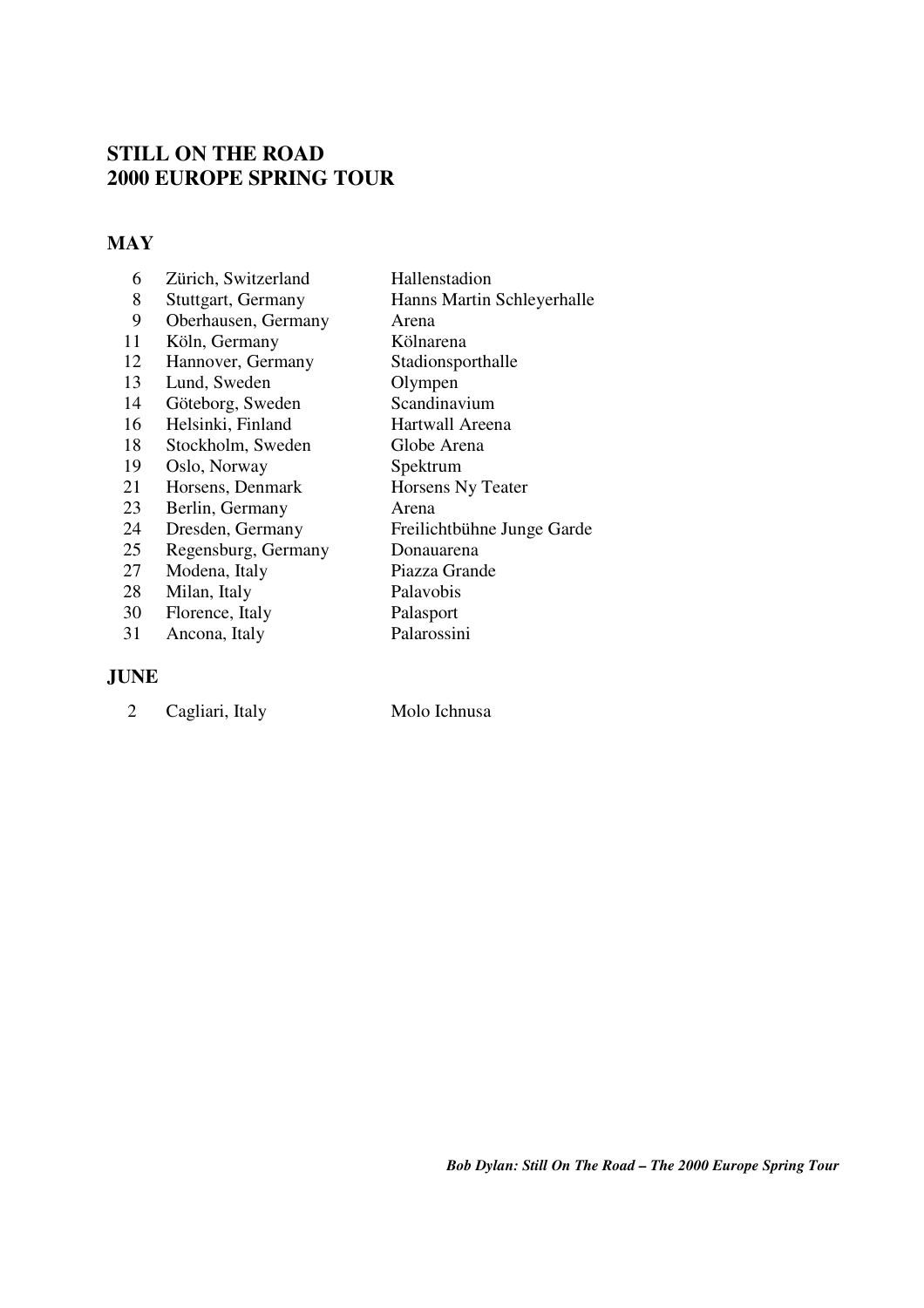# **STILL ON THE ROAD 2000 EUROPE SPRING TOUR**

### **MAY**

| 6  | Zürich, Switzerland | Hallenstadion              |
|----|---------------------|----------------------------|
| 8  | Stuttgart, Germany  | Hanns Martin Schleyerhalle |
| 9  | Oberhausen, Germany | Arena                      |
| 11 | Köln, Germany       | Kölnarena                  |
| 12 | Hannover, Germany   | Stadionsporthalle          |
| 13 | Lund, Sweden        | Olympen                    |
| 14 | Göteborg, Sweden    | Scandinavium               |
| 16 | Helsinki, Finland   | Hartwall Areena            |
| 18 | Stockholm, Sweden   | Globe Arena                |
| 19 | Oslo, Norway        | Spektrum                   |
| 21 | Horsens, Denmark    | Horsens Ny Teater          |
| 23 | Berlin, Germany     | Arena                      |
| 24 | Dresden, Germany    | Freilichtbühne Junge Garde |
| 25 | Regensburg, Germany | Donauarena                 |
| 27 | Modena, Italy       | Piazza Grande              |
| 28 | Milan, Italy        | Palavobis                  |
| 30 | Florence, Italy     | Palasport                  |
| 31 | Ancona, Italy       | Palarossini                |

### **JUNE**

| ◠ |                 |  |
|---|-----------------|--|
|   | Cagliari, Italy |  |
|   |                 |  |

Molo Ichnusa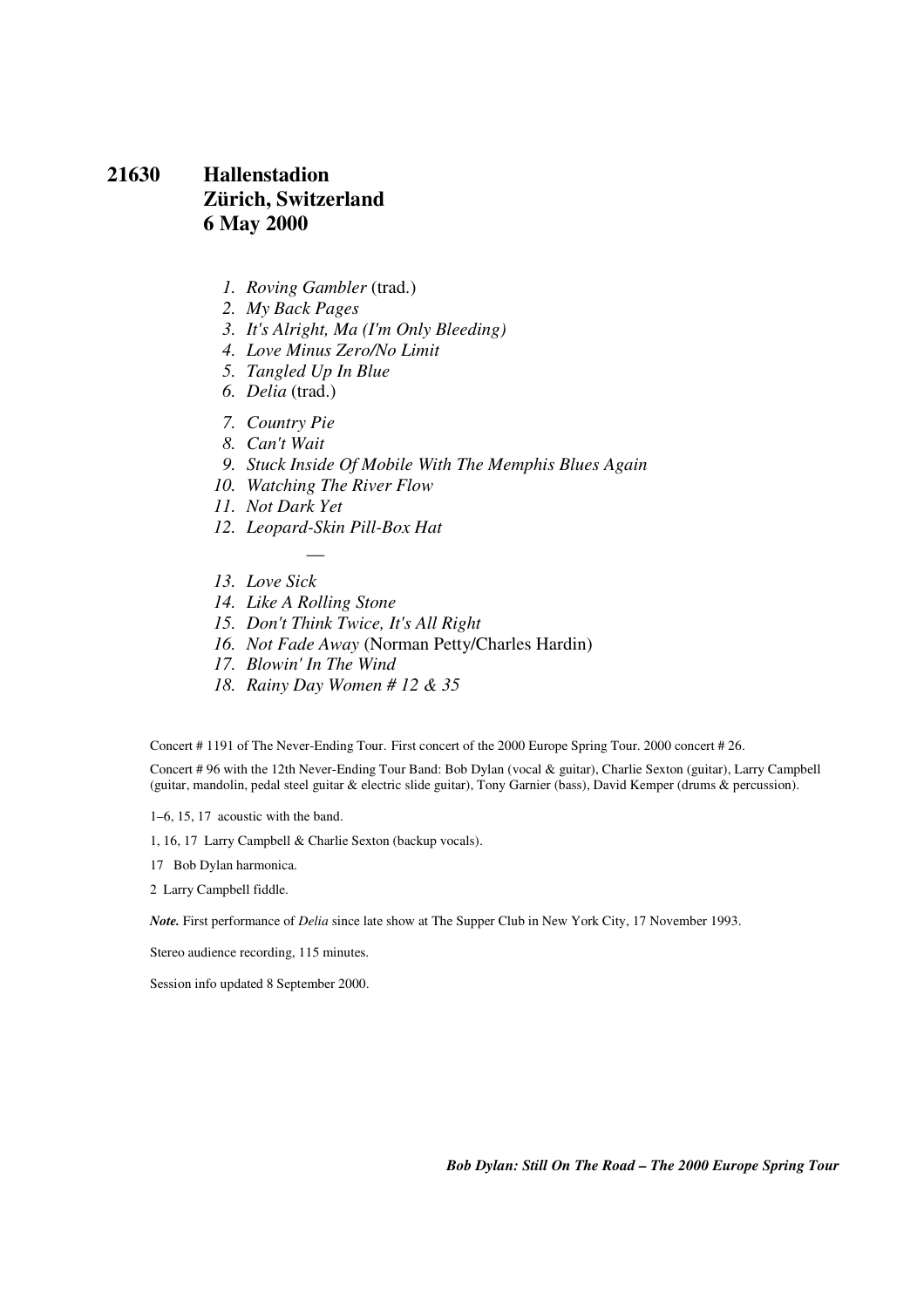### **21630 Hallenstadion Zürich, Switzerland 6 May 2000**

- *1. Roving Gambler* (trad.)
- *2. My Back Pages*
- *3. It's Alright, Ma (I'm Only Bleeding)*
- *4. Love Minus Zero/No Limit*
- *5. Tangled Up In Blue*
- *6. Delia* (trad.)
- *7. Country Pie*
- *8. Can't Wait*
- *9. Stuck Inside Of Mobile With The Memphis Blues Again*
- *10. Watching The River Flow*
- *11. Not Dark Yet*
- *12. Leopard-Skin Pill-Box Hat*

—

- *13. Love Sick*
- *14. Like A Rolling Stone*
- *15. Don't Think Twice, It's All Right*
- *16. Not Fade Away* (Norman Petty/Charles Hardin)
- *17. Blowin' In The Wind*
- *18. Rainy Day Women # 12 & 35*

Concert # 1191 of The Never-Ending Tour. First concert of the 2000 Europe Spring Tour. 2000 concert # 26.

Concert # 96 with the 12th Never-Ending Tour Band: Bob Dylan (vocal & guitar), Charlie Sexton (guitar), Larry Campbell (guitar, mandolin, pedal steel guitar & electric slide guitar), Tony Garnier (bass), David Kemper (drums & percussion).

1–6, 15, 17 acoustic with the band.

1, 16, 17 Larry Campbell & Charlie Sexton (backup vocals).

17 Bob Dylan harmonica.

2 Larry Campbell fiddle.

*Note.* First performance of *Delia* since late show at The Supper Club in New York City, 17 November 1993.

Stereo audience recording, 115 minutes.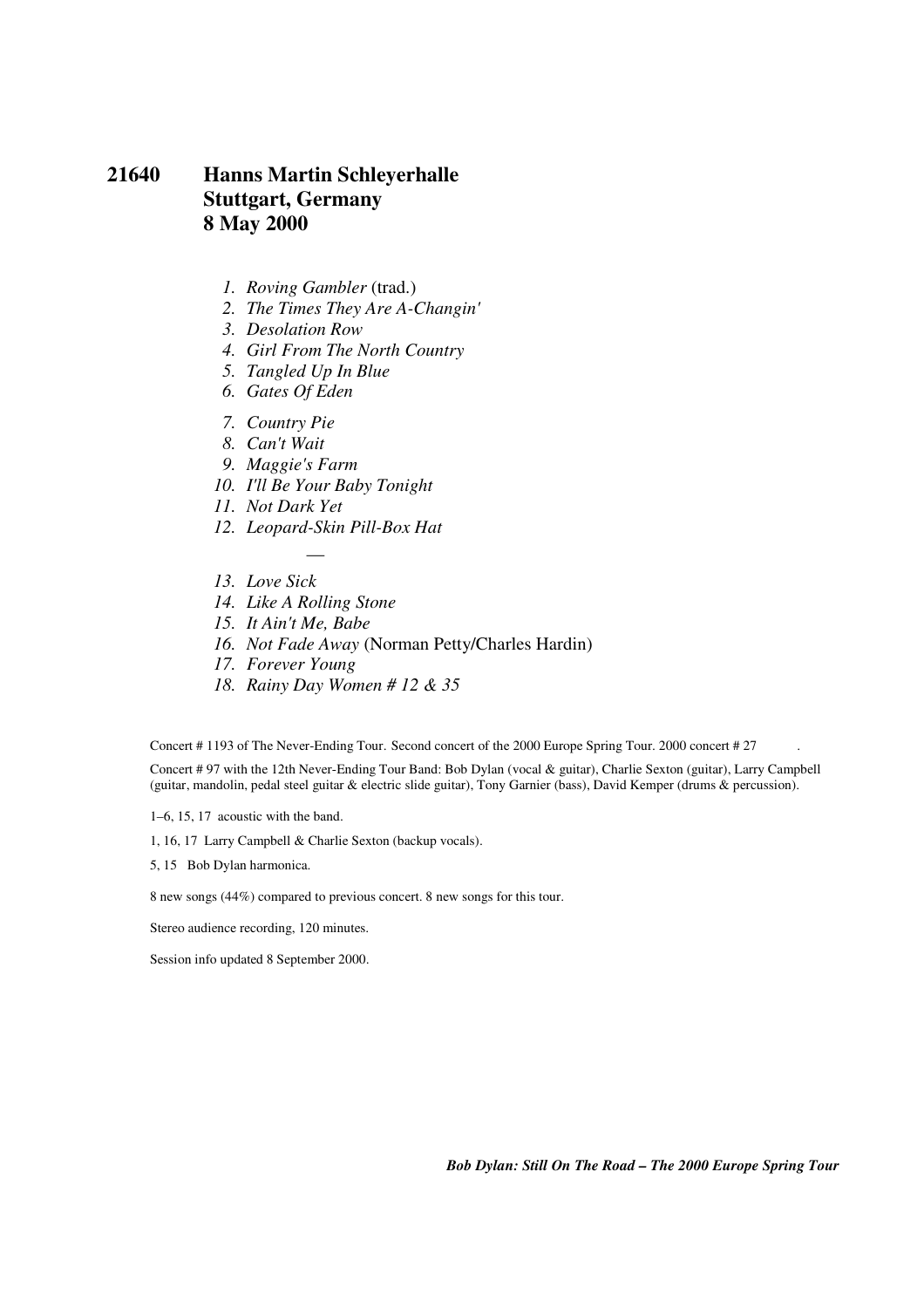### **21640 Hanns Martin Schleyerhalle Stuttgart, Germany 8 May 2000**

- *1. Roving Gambler* (trad.)
- *2. The Times They Are A-Changin'*
- *3. Desolation Row*
- *4. Girl From The North Country*
- *5. Tangled Up In Blue*
- *6. Gates Of Eden*
- *7. Country Pie*
- *8. Can't Wait*
- *9. Maggie's Farm*
- *10. I'll Be Your Baby Tonight*
- *11. Not Dark Yet*
- *12. Leopard-Skin Pill-Box Hat*

—

- *13. Love Sick*
- *14. Like A Rolling Stone*
- *15. It Ain't Me, Babe*
- *16. Not Fade Away* (Norman Petty/Charles Hardin)
- *17. Forever Young*
- *18. Rainy Day Women # 12 & 35*

Concert # 1193 of The Never-Ending Tour. Second concert of the 2000 Europe Spring Tour. 2000 concert # 27 .

Concert # 97 with the 12th Never-Ending Tour Band: Bob Dylan (vocal & guitar), Charlie Sexton (guitar), Larry Campbell (guitar, mandolin, pedal steel guitar & electric slide guitar), Tony Garnier (bass), David Kemper (drums & percussion).

1–6, 15, 17 acoustic with the band.

1, 16, 17 Larry Campbell & Charlie Sexton (backup vocals).

5, 15 Bob Dylan harmonica.

8 new songs (44%) compared to previous concert. 8 new songs for this tour.

Stereo audience recording, 120 minutes.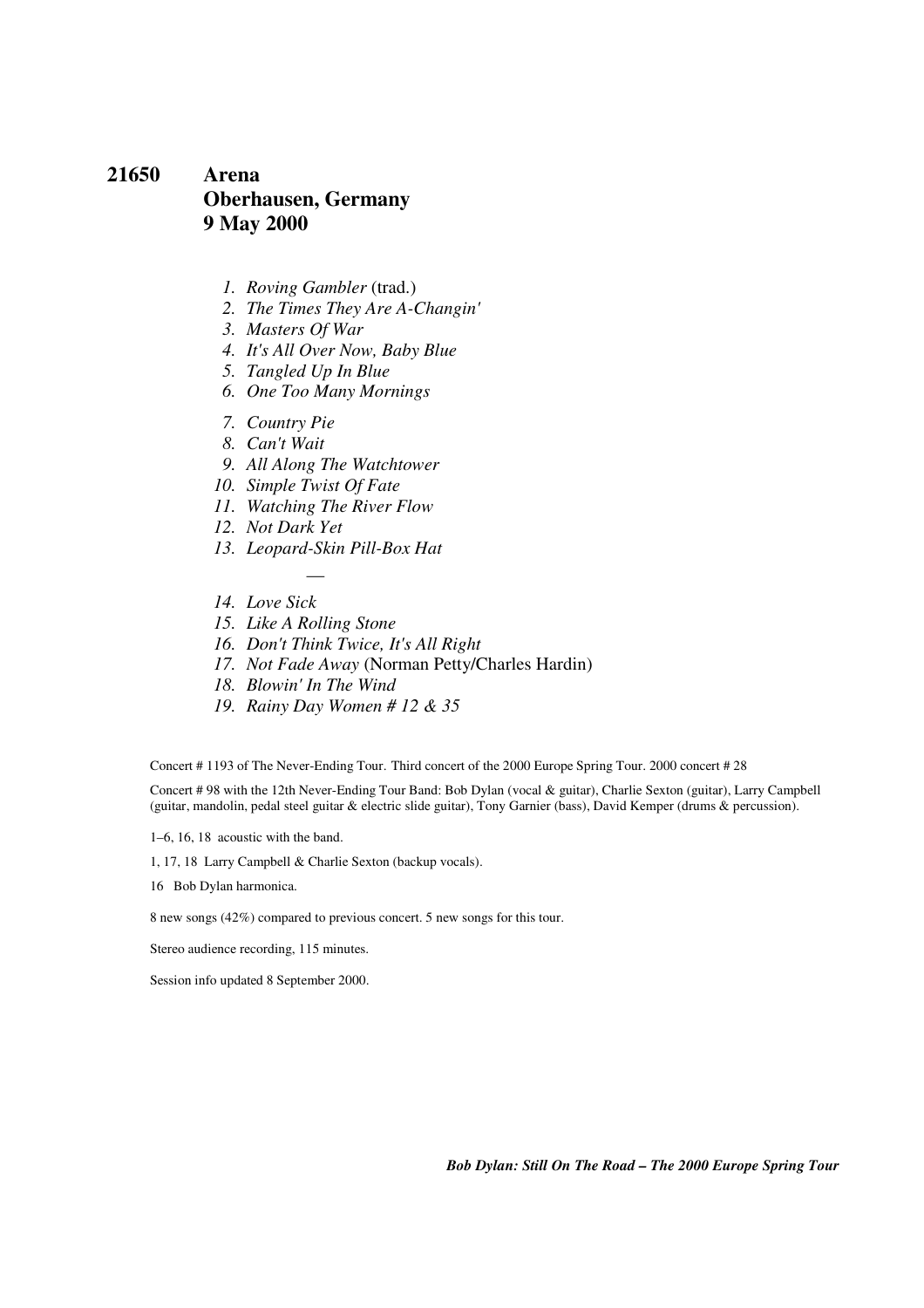### **21650 Arena Oberhausen, Germany 9 May 2000**

- *1. Roving Gambler* (trad.)
- *2. The Times They Are A-Changin'*
- *3. Masters Of War*
- *4. It's All Over Now, Baby Blue*
- *5. Tangled Up In Blue*
- *6. One Too Many Mornings*
- *7. Country Pie*
- *8. Can't Wait*
- *9. All Along The Watchtower*
- *10. Simple Twist Of Fate*
- *11. Watching The River Flow*
- *12. Not Dark Yet*
- *13. Leopard-Skin Pill-Box Hat*

—

- *14. Love Sick*
- *15. Like A Rolling Stone*
- *16. Don't Think Twice, It's All Right*
- *17. Not Fade Away* (Norman Petty/Charles Hardin)
- *18. Blowin' In The Wind*
- *19. Rainy Day Women # 12 & 35*

Concert # 1193 of The Never-Ending Tour. Third concert of the 2000 Europe Spring Tour. 2000 concert # 28

Concert # 98 with the 12th Never-Ending Tour Band: Bob Dylan (vocal & guitar), Charlie Sexton (guitar), Larry Campbell (guitar, mandolin, pedal steel guitar & electric slide guitar), Tony Garnier (bass), David Kemper (drums & percussion).

1–6, 16, 18 acoustic with the band.

1, 17, 18 Larry Campbell & Charlie Sexton (backup vocals).

16 Bob Dylan harmonica.

8 new songs (42%) compared to previous concert. 5 new songs for this tour.

Stereo audience recording, 115 minutes.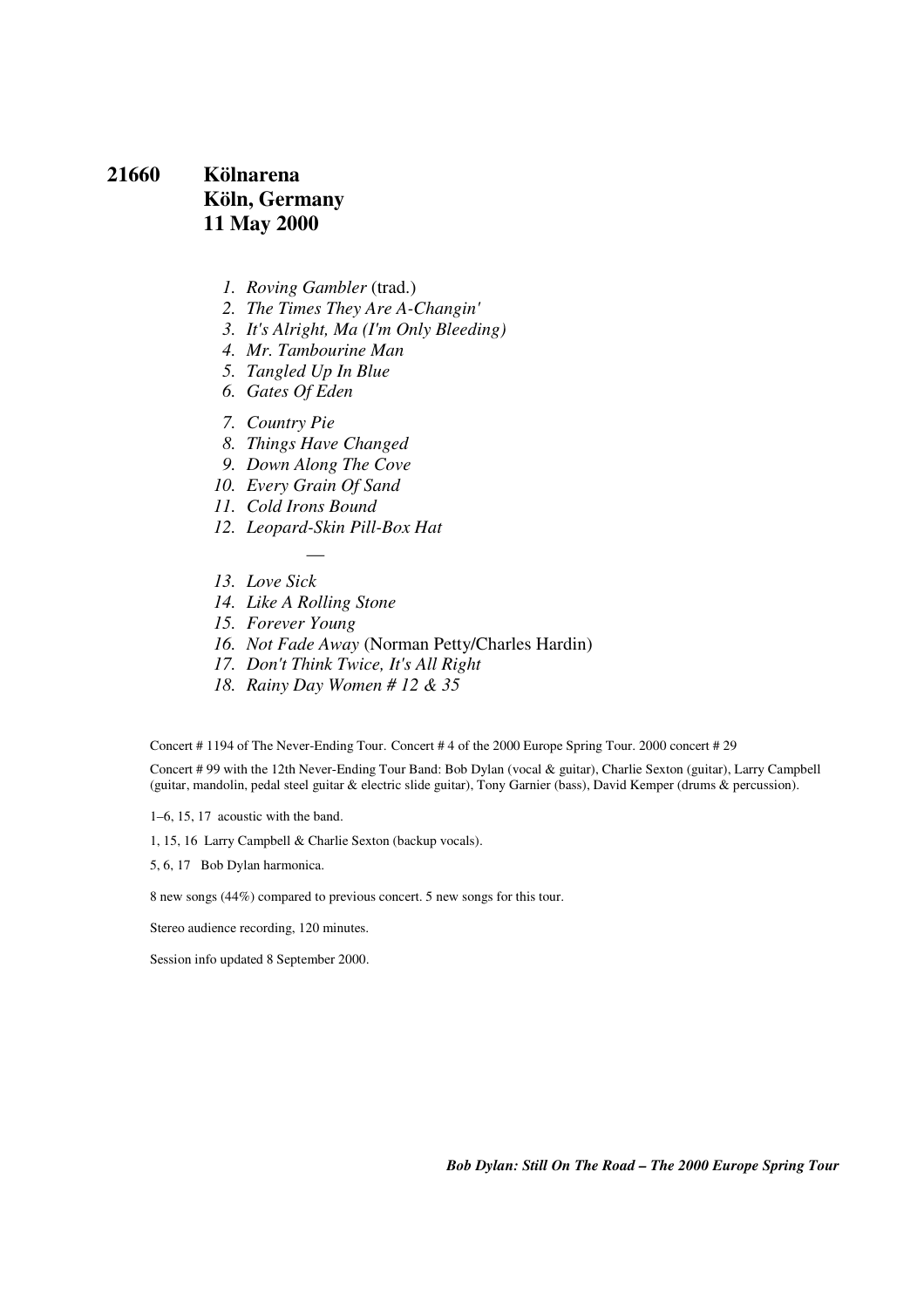## **21660 Kölnarena Köln, Germany 11 May 2000**

- *1. Roving Gambler* (trad.)
- *2. The Times They Are A-Changin'*
- *3. It's Alright, Ma (I'm Only Bleeding)*
- *4. Mr. Tambourine Man*
- *5. Tangled Up In Blue*
- *6. Gates Of Eden*
- *7. Country Pie*
- *8. Things Have Changed*
- *9. Down Along The Cove*
- *10. Every Grain Of Sand*
- *11. Cold Irons Bound*
- *12. Leopard-Skin Pill-Box Hat*

—

- *13. Love Sick*
- *14. Like A Rolling Stone*
- *15. Forever Young*
- *16. Not Fade Away* (Norman Petty/Charles Hardin)
- *17. Don't Think Twice, It's All Right*
- *18. Rainy Day Women # 12 & 35*

Concert # 1194 of The Never-Ending Tour. Concert # 4 of the 2000 Europe Spring Tour. 2000 concert # 29

Concert # 99 with the 12th Never-Ending Tour Band: Bob Dylan (vocal & guitar), Charlie Sexton (guitar), Larry Campbell (guitar, mandolin, pedal steel guitar & electric slide guitar), Tony Garnier (bass), David Kemper (drums & percussion).

1–6, 15, 17 acoustic with the band.

1, 15, 16 Larry Campbell & Charlie Sexton (backup vocals).

5, 6, 17 Bob Dylan harmonica.

8 new songs (44%) compared to previous concert. 5 new songs for this tour.

Stereo audience recording, 120 minutes.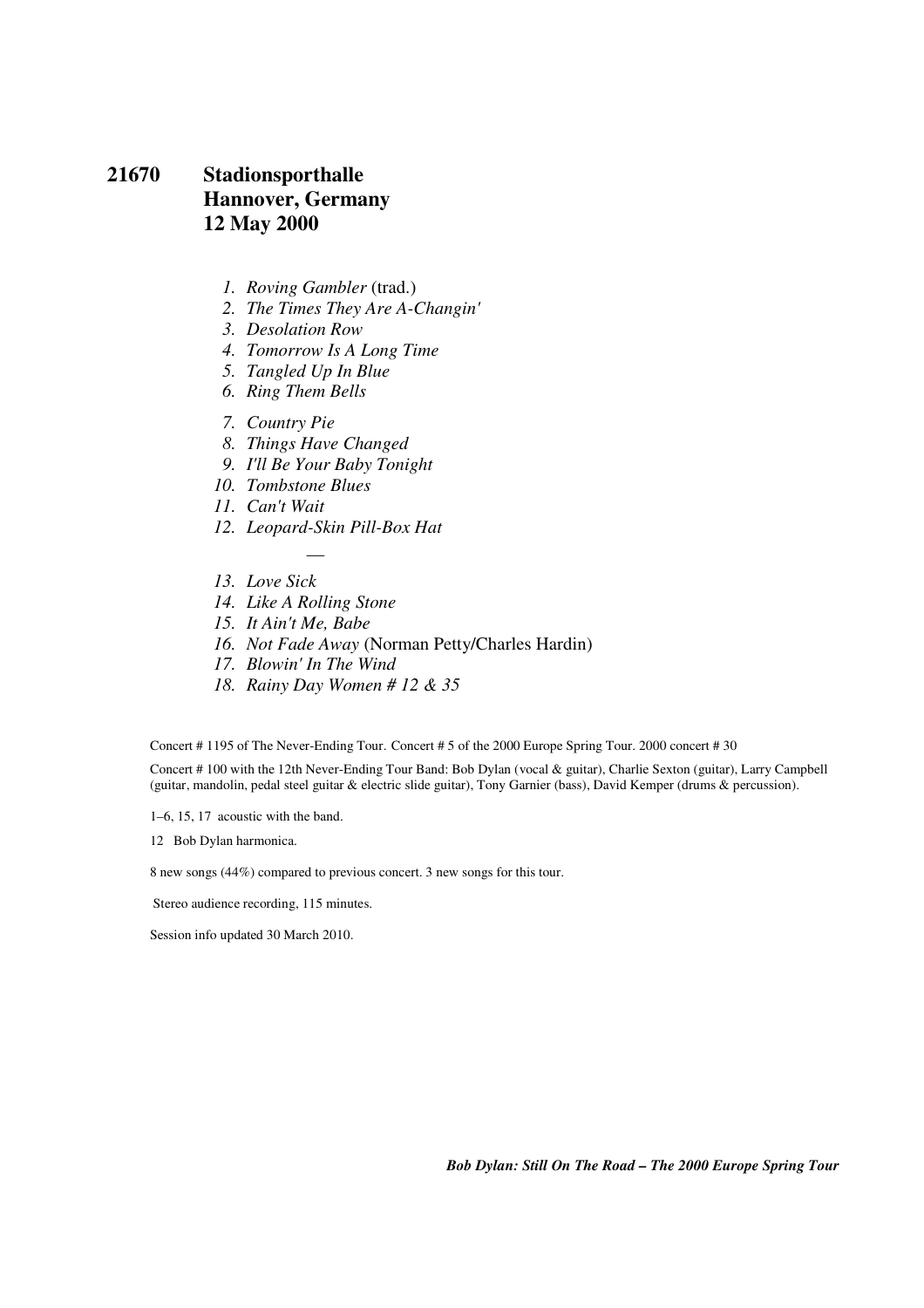## **21670 Stadionsporthalle Hannover, Germany 12 May 2000**

- *1. Roving Gambler* (trad.)
- *2. The Times They Are A-Changin'*
- *3. Desolation Row*
- *4. Tomorrow Is A Long Time*
- *5. Tangled Up In Blue*
- *6. Ring Them Bells*
- *7. Country Pie*
- *8. Things Have Changed*
- *9. I'll Be Your Baby Tonight*
- *10. Tombstone Blues*
- *11. Can't Wait*
- *12. Leopard-Skin Pill-Box Hat*

—

- *13. Love Sick*
- *14. Like A Rolling Stone*
- *15. It Ain't Me, Babe*
- *16. Not Fade Away* (Norman Petty/Charles Hardin)
- *17. Blowin' In The Wind*
- *18. Rainy Day Women # 12 & 35*

Concert # 1195 of The Never-Ending Tour. Concert # 5 of the 2000 Europe Spring Tour. 2000 concert # 30

Concert # 100 with the 12th Never-Ending Tour Band: Bob Dylan (vocal & guitar), Charlie Sexton (guitar), Larry Campbell (guitar, mandolin, pedal steel guitar & electric slide guitar), Tony Garnier (bass), David Kemper (drums & percussion).

1–6, 15, 17 acoustic with the band.

12 Bob Dylan harmonica.

8 new songs (44%) compared to previous concert. 3 new songs for this tour.

Stereo audience recording, 115 minutes.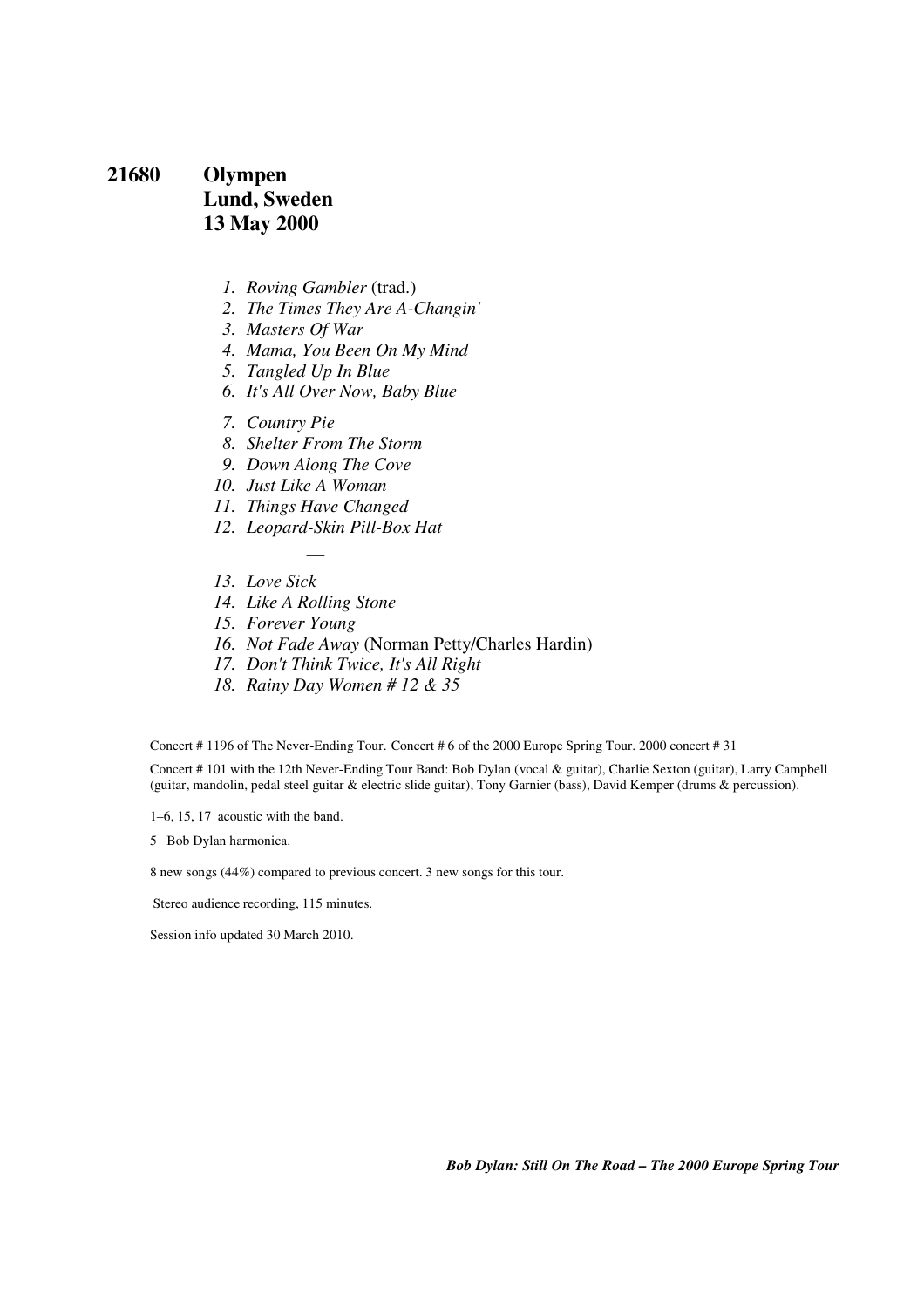### **21680 Olympen Lund, Sweden 13 May 2000**

- *1. Roving Gambler* (trad.)
- *2. The Times They Are A-Changin'*
- *3. Masters Of War*
- *4. Mama, You Been On My Mind*
- *5. Tangled Up In Blue*
- *6. It's All Over Now, Baby Blue*
- *7. Country Pie*
- *8. Shelter From The Storm*
- *9. Down Along The Cove*
- *10. Just Like A Woman*
- *11. Things Have Changed*

—

- *12. Leopard-Skin Pill-Box Hat*
- *13. Love Sick*
- *14. Like A Rolling Stone*
- *15. Forever Young*
- *16. Not Fade Away* (Norman Petty/Charles Hardin)
- *17. Don't Think Twice, It's All Right*
- *18. Rainy Day Women # 12 & 35*

Concert # 1196 of The Never-Ending Tour. Concert # 6 of the 2000 Europe Spring Tour. 2000 concert # 31

Concert # 101 with the 12th Never-Ending Tour Band: Bob Dylan (vocal & guitar), Charlie Sexton (guitar), Larry Campbell (guitar, mandolin, pedal steel guitar & electric slide guitar), Tony Garnier (bass), David Kemper (drums & percussion).

1–6, 15, 17 acoustic with the band.

5 Bob Dylan harmonica.

8 new songs (44%) compared to previous concert. 3 new songs for this tour.

Stereo audience recording, 115 minutes.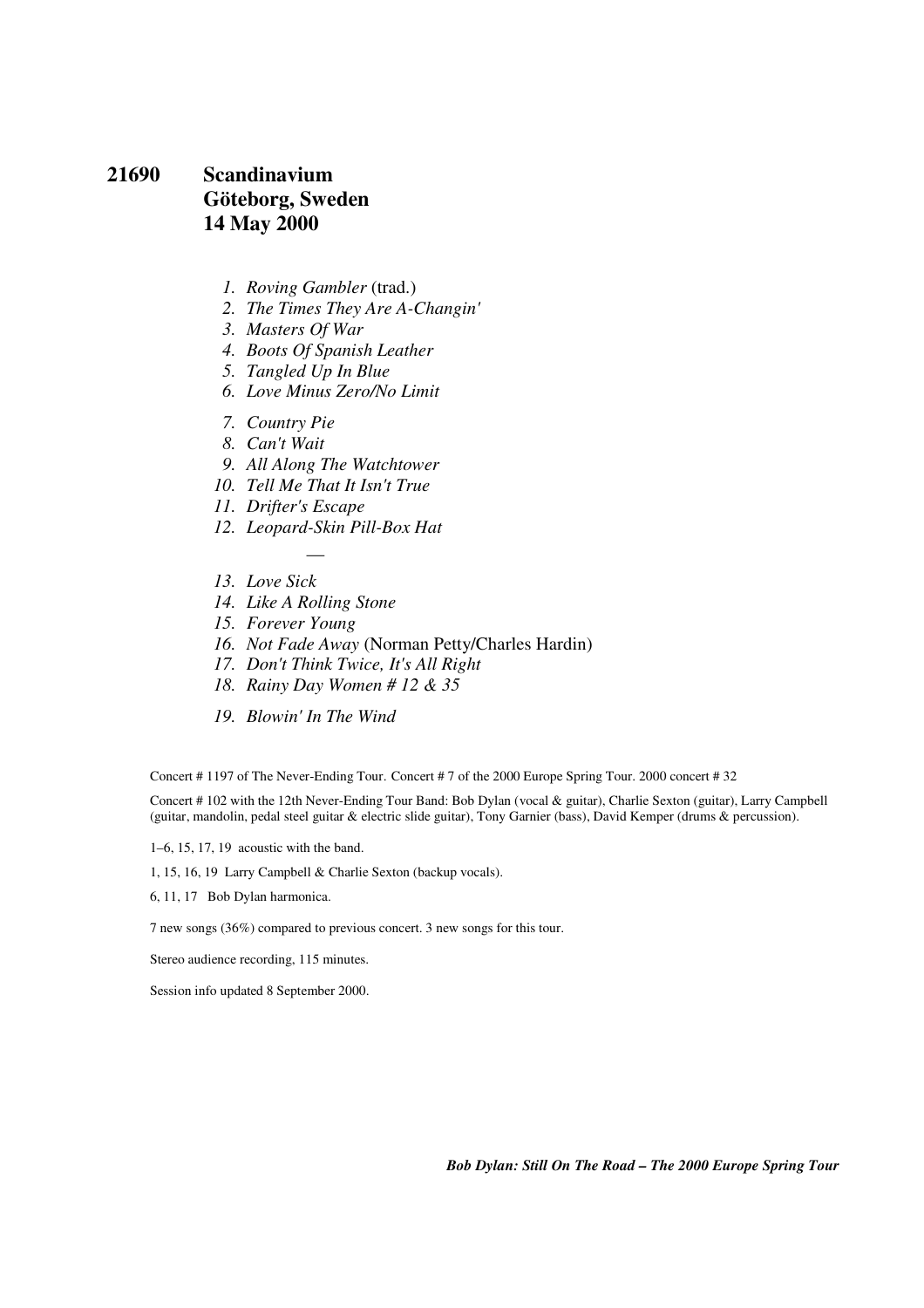### **21690 Scandinavium Göteborg, Sweden 14 May 2000**

- *1. Roving Gambler* (trad.)
- *2. The Times They Are A-Changin'*
- *3. Masters Of War*
- *4. Boots Of Spanish Leather*
- *5. Tangled Up In Blue*
- *6. Love Minus Zero/No Limit*
- *7. Country Pie*
- *8. Can't Wait*
- *9. All Along The Watchtower*
- *10. Tell Me That It Isn't True*
- *11. Drifter's Escape*
- *12. Leopard-Skin Pill-Box Hat*

—

- *13. Love Sick*
- *14. Like A Rolling Stone*
- *15. Forever Young*
- *16. Not Fade Away* (Norman Petty/Charles Hardin)
- *17. Don't Think Twice, It's All Right*
- *18. Rainy Day Women # 12 & 35*
- *19. Blowin' In The Wind*

Concert # 1197 of The Never-Ending Tour. Concert # 7 of the 2000 Europe Spring Tour. 2000 concert # 32

Concert # 102 with the 12th Never-Ending Tour Band: Bob Dylan (vocal & guitar), Charlie Sexton (guitar), Larry Campbell (guitar, mandolin, pedal steel guitar & electric slide guitar), Tony Garnier (bass), David Kemper (drums & percussion).

1–6, 15, 17, 19 acoustic with the band.

1, 15, 16, 19 Larry Campbell & Charlie Sexton (backup vocals).

6, 11, 17 Bob Dylan harmonica.

7 new songs (36%) compared to previous concert. 3 new songs for this tour.

Stereo audience recording, 115 minutes.

Session info updated 8 September 2000.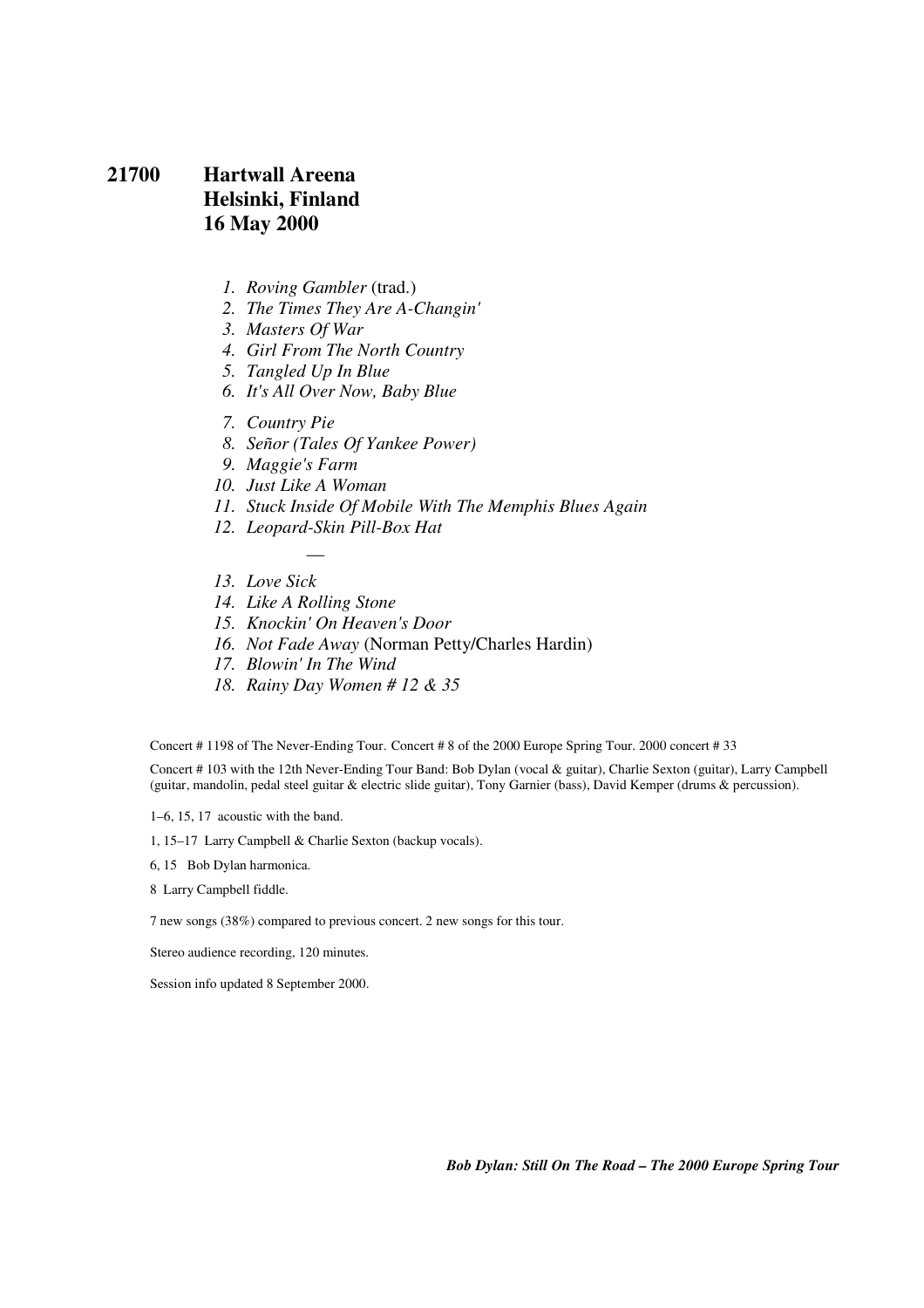### **21700 Hartwall Areena Helsinki, Finland 16 May 2000**

- *1. Roving Gambler* (trad.)
- *2. The Times They Are A-Changin'*
- *3. Masters Of War*
- *4. Girl From The North Country*
- *5. Tangled Up In Blue*
- *6. It's All Over Now, Baby Blue*
- *7. Country Pie*
- *8. Señor (Tales Of Yankee Power)*
- *9. Maggie's Farm*
- *10. Just Like A Woman*
- *11. Stuck Inside Of Mobile With The Memphis Blues Again*
- *12. Leopard-Skin Pill-Box Hat*

—

- *13. Love Sick*
- *14. Like A Rolling Stone*
- *15. Knockin' On Heaven's Door*
- *16. Not Fade Away* (Norman Petty/Charles Hardin)
- *17. Blowin' In The Wind*
- *18. Rainy Day Women # 12 & 35*

Concert # 1198 of The Never-Ending Tour. Concert # 8 of the 2000 Europe Spring Tour. 2000 concert # 33

Concert # 103 with the 12th Never-Ending Tour Band: Bob Dylan (vocal & guitar), Charlie Sexton (guitar), Larry Campbell (guitar, mandolin, pedal steel guitar & electric slide guitar), Tony Garnier (bass), David Kemper (drums & percussion).

1–6, 15, 17 acoustic with the band.

1, 15–17 Larry Campbell & Charlie Sexton (backup vocals).

6, 15 Bob Dylan harmonica.

8 Larry Campbell fiddle.

7 new songs (38%) compared to previous concert. 2 new songs for this tour.

Stereo audience recording, 120 minutes.

Session info updated 8 September 2000.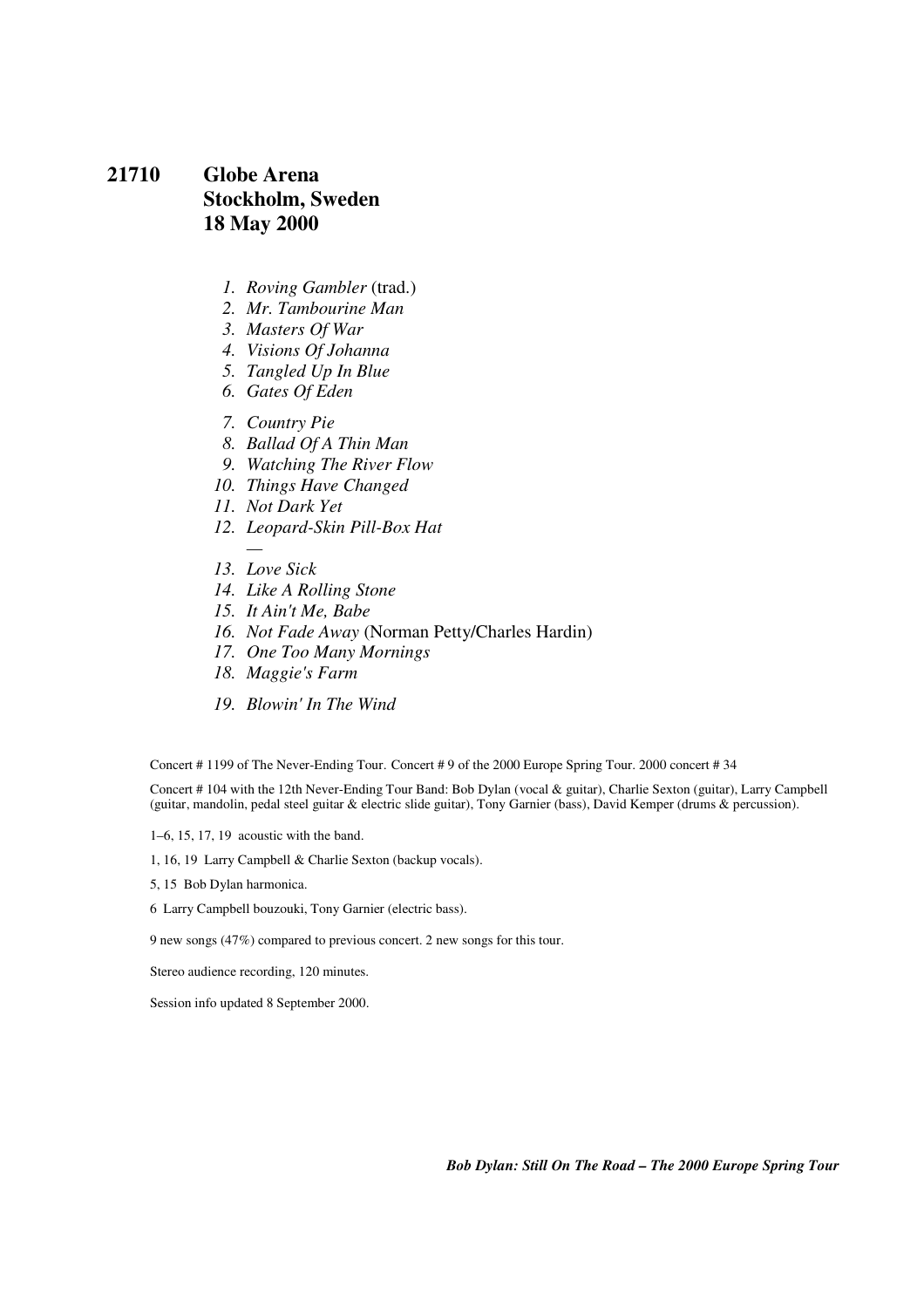### **21710 Globe Arena Stockholm, Sweden 18 May 2000**

- *1. Roving Gambler* (trad.)
- *2. Mr. Tambourine Man*
- *3. Masters Of War*
- *4. Visions Of Johanna*
- *5. Tangled Up In Blue*
- *6. Gates Of Eden*
- *7. Country Pie*
- *8. Ballad Of A Thin Man*
- *9. Watching The River Flow*
- *10. Things Have Changed*
- *11. Not Dark Yet*
- *12. Leopard-Skin Pill-Box Hat*
- *13. Love Sick*

*—* 

- *14. Like A Rolling Stone*
- *15. It Ain't Me, Babe*
- *16. Not Fade Away* (Norman Petty/Charles Hardin)
- *17. One Too Many Mornings*
- *18. Maggie's Farm*
- *19. Blowin' In The Wind*

Concert # 1199 of The Never-Ending Tour. Concert # 9 of the 2000 Europe Spring Tour. 2000 concert # 34

Concert # 104 with the 12th Never-Ending Tour Band: Bob Dylan (vocal & guitar), Charlie Sexton (guitar), Larry Campbell (guitar, mandolin, pedal steel guitar & electric slide guitar), Tony Garnier (bass), David Kemper (drums & percussion).

1–6, 15, 17, 19 acoustic with the band.

1, 16, 19 Larry Campbell & Charlie Sexton (backup vocals).

- 5, 15 Bob Dylan harmonica.
- 6 Larry Campbell bouzouki, Tony Garnier (electric bass).

9 new songs (47%) compared to previous concert. 2 new songs for this tour.

Stereo audience recording, 120 minutes.

Session info updated 8 September 2000.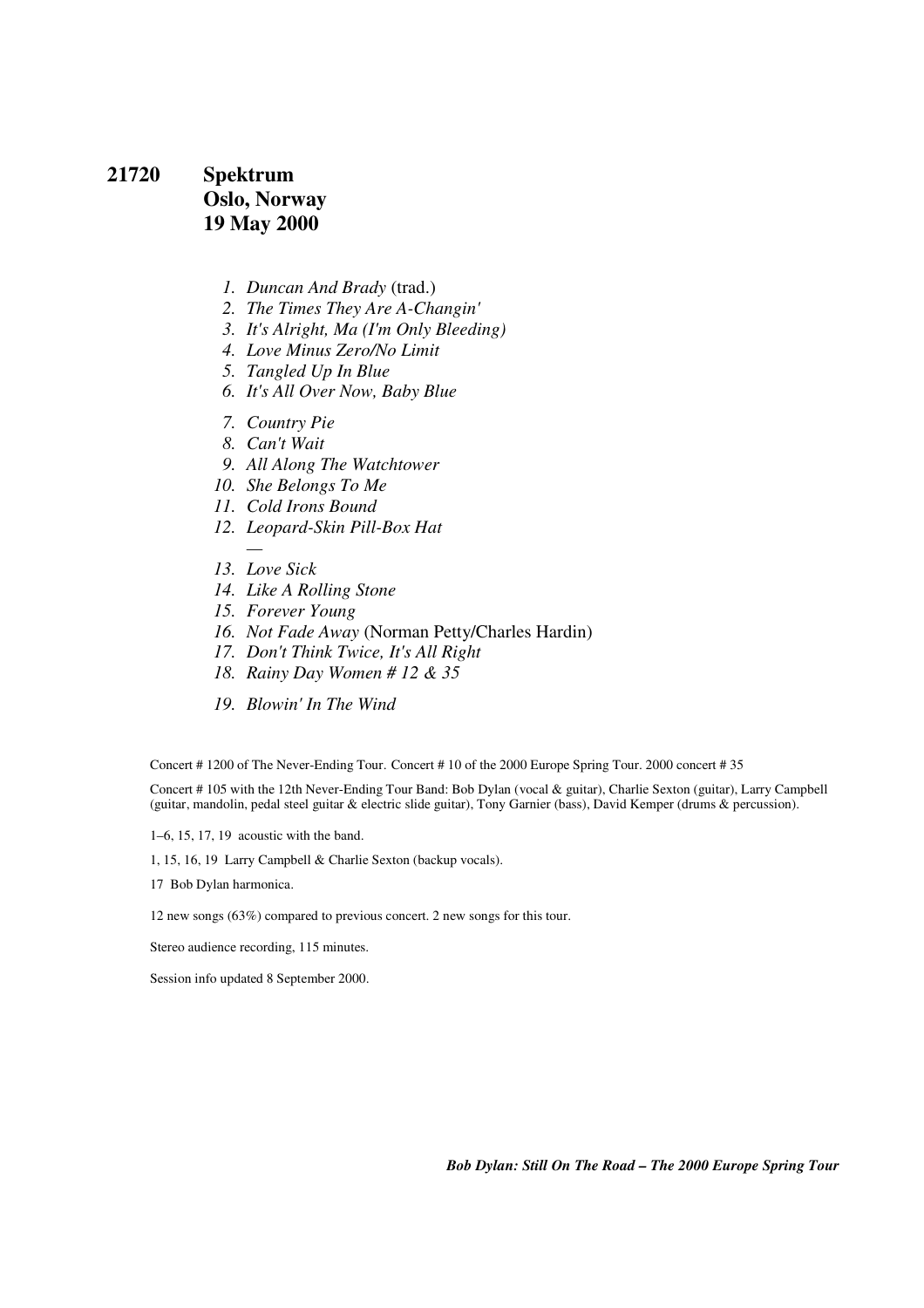# **21720 Spektrum Oslo, Norway 19 May 2000**

- *1. Duncan And Brady* (trad.)
- *2. The Times They Are A-Changin'*
- *3. It's Alright, Ma (I'm Only Bleeding)*
- *4. Love Minus Zero/No Limit*
- *5. Tangled Up In Blue*
- *6. It's All Over Now, Baby Blue*
- *7. Country Pie*
- *8. Can't Wait*
- *9. All Along The Watchtower*
- *10. She Belongs To Me*
- *11. Cold Irons Bound*
- *12. Leopard-Skin Pill-Box Hat*
- *13. Love Sick*
- *14. Like A Rolling Stone*
- *15. Forever Young*
- *16. Not Fade Away* (Norman Petty/Charles Hardin)
- *17. Don't Think Twice, It's All Right*
- *18. Rainy Day Women # 12 & 35*
- *19. Blowin' In The Wind*

Concert # 1200 of The Never-Ending Tour. Concert # 10 of the 2000 Europe Spring Tour. 2000 concert # 35

Concert # 105 with the 12th Never-Ending Tour Band: Bob Dylan (vocal & guitar), Charlie Sexton (guitar), Larry Campbell (guitar, mandolin, pedal steel guitar & electric slide guitar), Tony Garnier (bass), David Kemper (drums & percussion).

1–6, 15, 17, 19 acoustic with the band.

1, 15, 16, 19 Larry Campbell & Charlie Sexton (backup vocals).

17 Bob Dylan harmonica.

12 new songs (63%) compared to previous concert. 2 new songs for this tour.

Stereo audience recording, 115 minutes.

Session info updated 8 September 2000.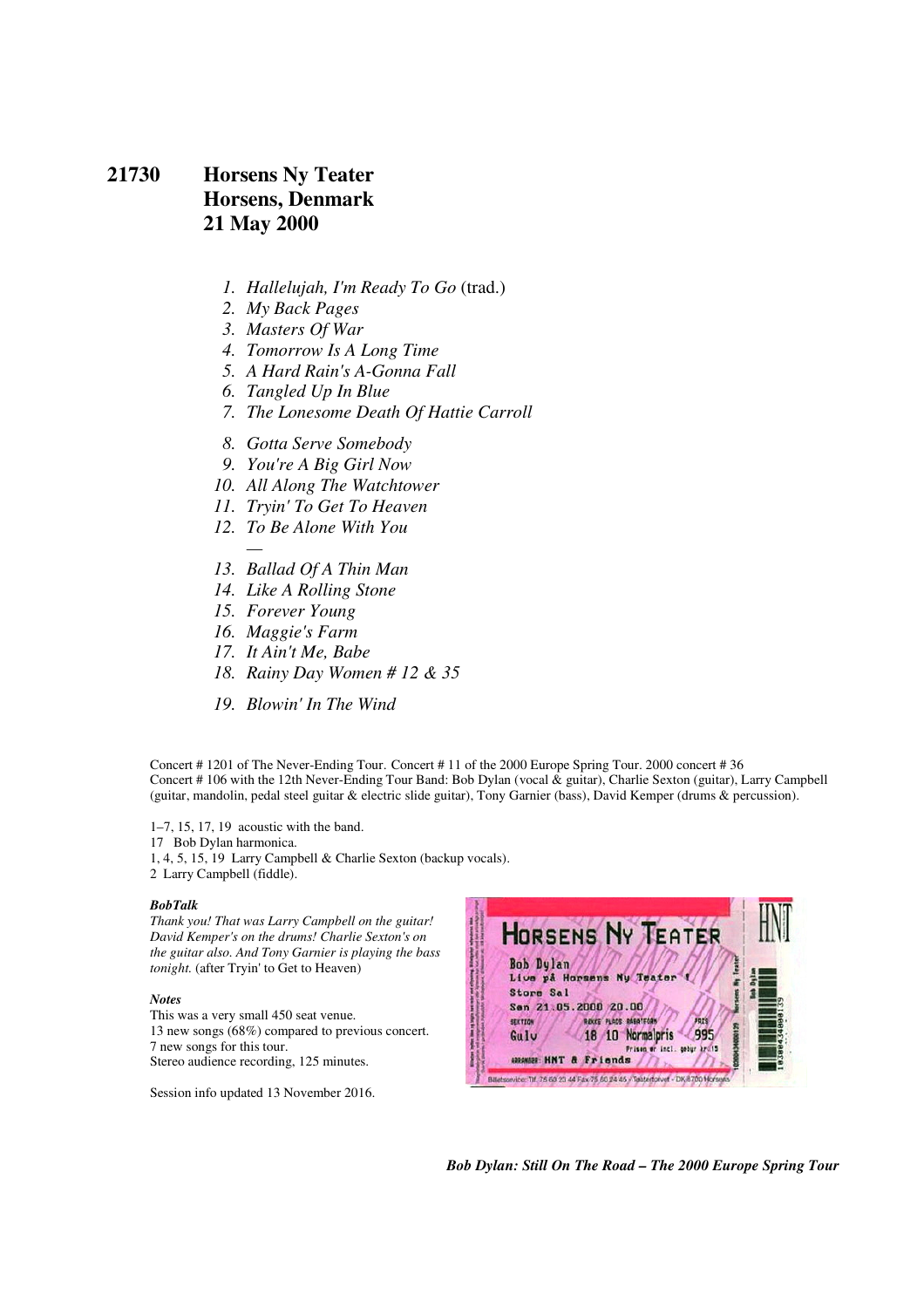### **21730 Horsens Ny Teater Horsens, Denmark 21 May 2000**

- *1. Hallelujah, I'm Ready To Go* (trad.)
- *2. My Back Pages*
- *3. Masters Of War*
- *4. Tomorrow Is A Long Time*
- *5. A Hard Rain's A-Gonna Fall*
- *6. Tangled Up In Blue*
- *7. The Lonesome Death Of Hattie Carroll*
- *8. Gotta Serve Somebody*
- *9. You're A Big Girl Now*
- *10. All Along The Watchtower*
- *11. Tryin' To Get To Heaven*
- *12. To Be Alone With You*
- *13. Ballad Of A Thin Man*
- *14. Like A Rolling Stone*
- *15. Forever Young*
- *16. Maggie's Farm*
- *17. It Ain't Me, Babe*
- *18. Rainy Day Women # 12 & 35*
- *19. Blowin' In The Wind*

Concert # 1201 of The Never-Ending Tour. Concert # 11 of the 2000 Europe Spring Tour. 2000 concert # 36 Concert # 106 with the 12th Never-Ending Tour Band: Bob Dylan (vocal & guitar), Charlie Sexton (guitar), Larry Campbell (guitar, mandolin, pedal steel guitar & electric slide guitar), Tony Garnier (bass), David Kemper (drums & percussion).

1–7, 15, 17, 19 acoustic with the band. 17 Bob Dylan harmonica. 1, 4, 5, 15, 19 Larry Campbell & Charlie Sexton (backup vocals). 2 Larry Campbell (fiddle).

#### *BobTalk*

*Thank you! That was Larry Campbell on the guitar! David Kemper's on the drums! Charlie Sexton's on the guitar also. And Tony Garnier is playing the bass tonight.* (after Tryin' to Get to Heaven)

#### *Notes*

This was a very small 450 seat venue. 13 new songs (68%) compared to previous concert. 7 new songs for this tour. Stereo audience recording, 125 minutes.

Session info updated 13 November 2016.

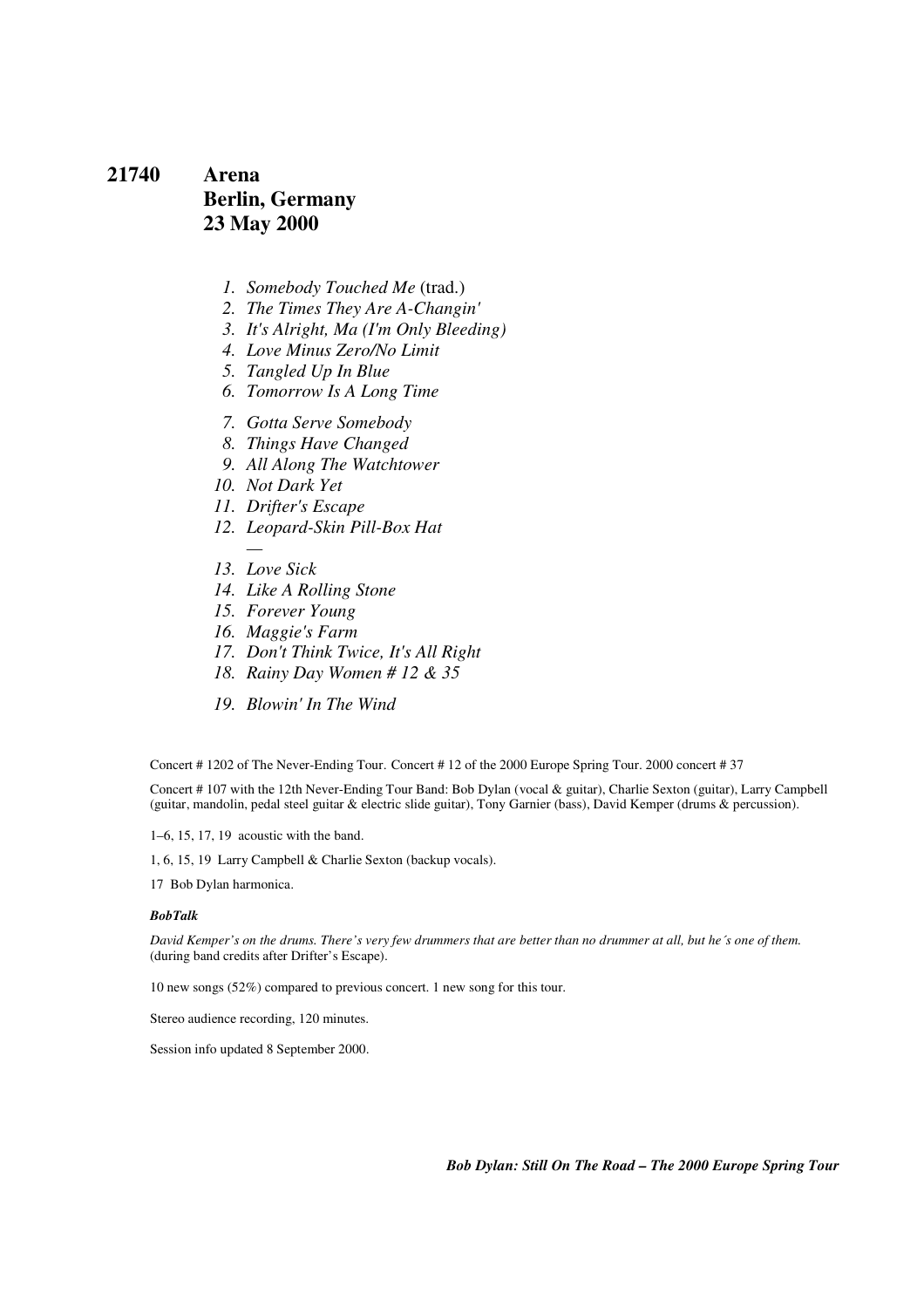### **21740 Arena Berlin, Germany 23 May 2000**

- *1. Somebody Touched Me* (trad.)
- *2. The Times They Are A-Changin'*
- *3. It's Alright, Ma (I'm Only Bleeding)*
- *4. Love Minus Zero/No Limit*
- *5. Tangled Up In Blue*
- *6. Tomorrow Is A Long Time*
- *7. Gotta Serve Somebody*
- *8. Things Have Changed*
- *9. All Along The Watchtower*
- *10. Not Dark Yet*
- *11. Drifter's Escape*
- *12. Leopard-Skin Pill-Box Hat*
- *13. Love Sick*
- *14. Like A Rolling Stone*
- *15. Forever Young*
- *16. Maggie's Farm*
- *17. Don't Think Twice, It's All Right*
- *18. Rainy Day Women # 12 & 35*
- *19. Blowin' In The Wind*

Concert # 1202 of The Never-Ending Tour. Concert # 12 of the 2000 Europe Spring Tour. 2000 concert # 37

Concert # 107 with the 12th Never-Ending Tour Band: Bob Dylan (vocal & guitar), Charlie Sexton (guitar), Larry Campbell (guitar, mandolin, pedal steel guitar & electric slide guitar), Tony Garnier (bass), David Kemper (drums & percussion).

1–6, 15, 17, 19 acoustic with the band.

1, 6, 15, 19 Larry Campbell & Charlie Sexton (backup vocals).

17 Bob Dylan harmonica.

#### *BobTalk*

*David Kemper's on the drums. There's very few drummers that are better than no drummer at all, but he´s one of them.* (during band credits after Drifter's Escape).

10 new songs (52%) compared to previous concert. 1 new song for this tour.

Stereo audience recording, 120 minutes.

Session info updated 8 September 2000.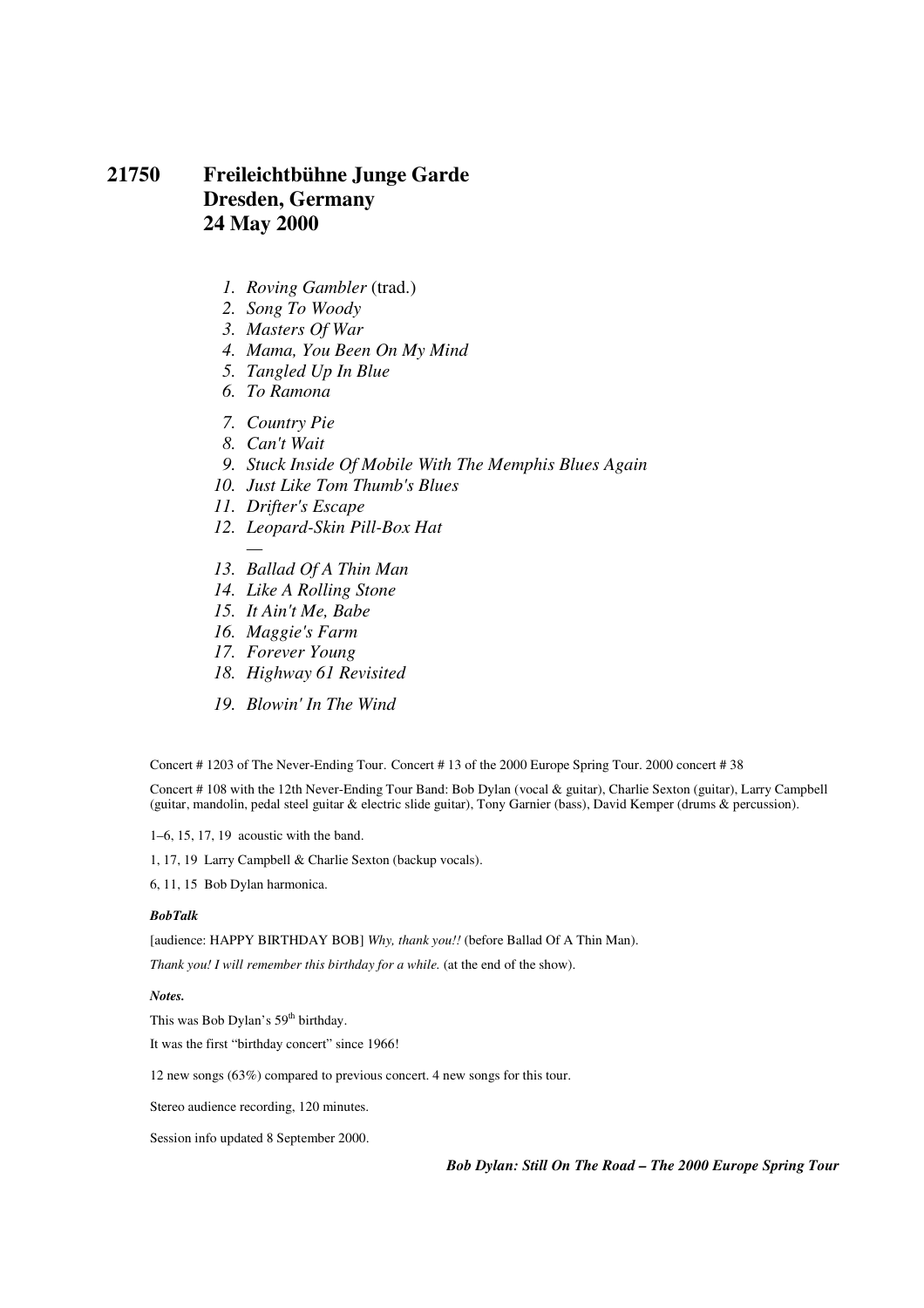# **21750 Freileichtbühne Junge Garde Dresden, Germany 24 May 2000**

- *1. Roving Gambler* (trad.)
- *2. Song To Woody*
- *3. Masters Of War*
- *4. Mama, You Been On My Mind*
- *5. Tangled Up In Blue*
- *6. To Ramona*
- *7. Country Pie*
- *8. Can't Wait*
- *9. Stuck Inside Of Mobile With The Memphis Blues Again*
- *10. Just Like Tom Thumb's Blues*
- *11. Drifter's Escape*
- *12. Leopard-Skin Pill-Box Hat*
- *13. Ballad Of A Thin Man*
- *14. Like A Rolling Stone*
- *15. It Ain't Me, Babe*
- *16. Maggie's Farm*
- *17. Forever Young*
- *18. Highway 61 Revisited*
- *19. Blowin' In The Wind*

Concert # 1203 of The Never-Ending Tour. Concert # 13 of the 2000 Europe Spring Tour. 2000 concert # 38

Concert # 108 with the 12th Never-Ending Tour Band: Bob Dylan (vocal & guitar), Charlie Sexton (guitar), Larry Campbell (guitar, mandolin, pedal steel guitar & electric slide guitar), Tony Garnier (bass), David Kemper (drums & percussion).

1–6, 15, 17, 19 acoustic with the band.

1, 17, 19 Larry Campbell & Charlie Sexton (backup vocals).

6, 11, 15 Bob Dylan harmonica.

#### *BobTalk*

[audience: HAPPY BIRTHDAY BOB] *Why, thank you!!* (before Ballad Of A Thin Man).

*Thank you! I will remember this birthday for a while.* (at the end of the show).

#### *Notes.*

This was Bob Dylan's  $59<sup>th</sup>$  birthday.

It was the first "birthday concert" since 1966!

12 new songs (63%) compared to previous concert. 4 new songs for this tour.

Stereo audience recording, 120 minutes.

Session info updated 8 September 2000.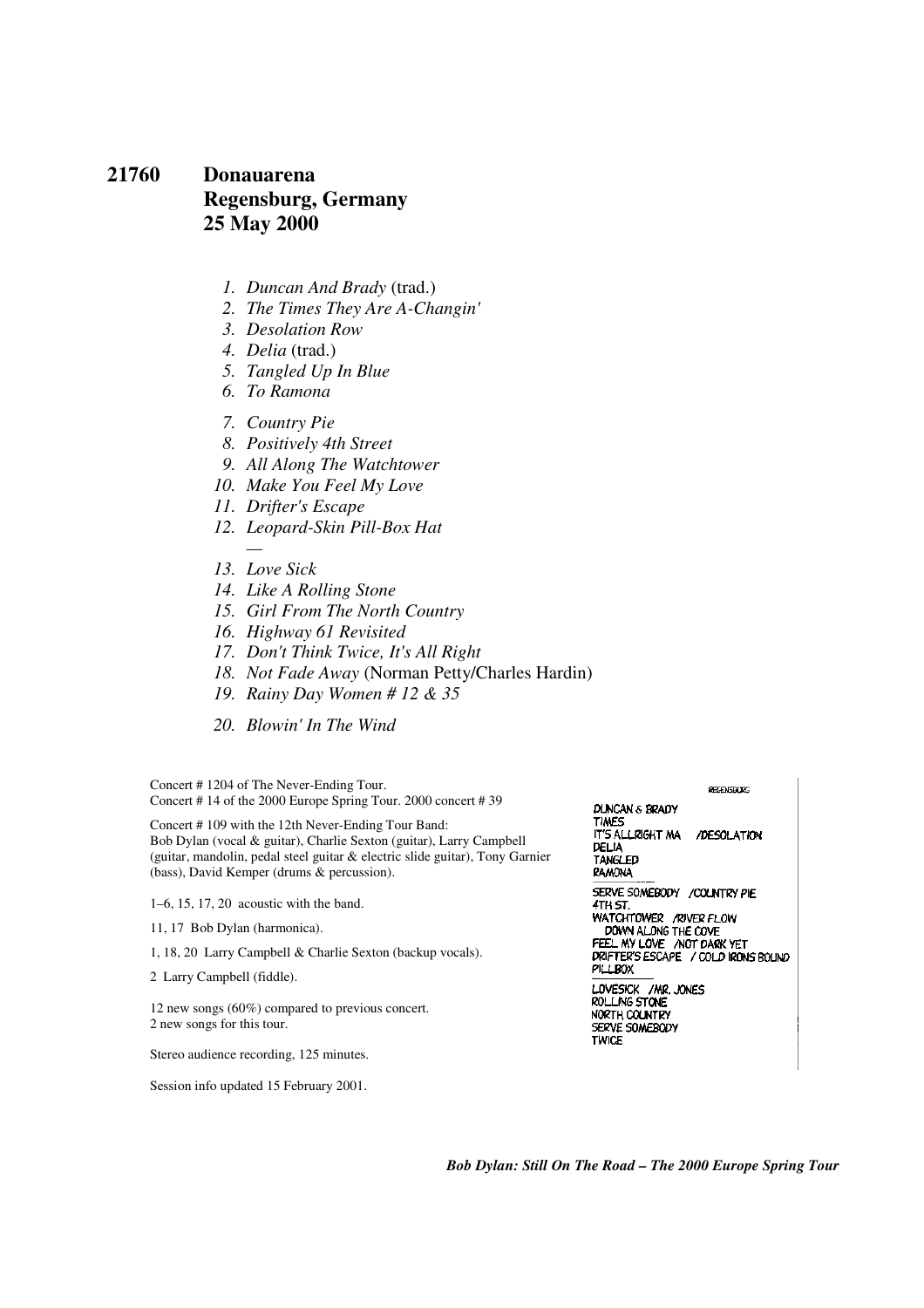### **21760 Donauarena Regensburg, Germany 25 May 2000**

- *1. Duncan And Brady* (trad.)
- *2. The Times They Are A-Changin'*
- *3. Desolation Row*
- *4. Delia* (trad.)
- *5. Tangled Up In Blue*
- *6. To Ramona*
- *7. Country Pie*
- *8. Positively 4th Street*
- *9. All Along The Watchtower*
- *10. Make You Feel My Love*
- *11. Drifter's Escape*
- *12. Leopard-Skin Pill-Box Hat*
- *13. Love Sick*

*—* 

Session info updated 15 February 2001.

- *14. Like A Rolling Stone*
- *15. Girl From The North Country*
- *16. Highway 61 Revisited*
- *17. Don't Think Twice, It's All Right*
- *18. Not Fade Away* (Norman Petty/Charles Hardin)
- *19. Rainy Day Women # 12 & 35*
- *20. Blowin' In The Wind*

| Concert #1204 of The Never-Ending Tour.<br>Concert #14 of the 2000 Europe Spring Tour. 2000 concert #39                                                                                                                                                 | <b>REGENSBURG</b><br>DUNCAN & BRADY                                                       |  |
|---------------------------------------------------------------------------------------------------------------------------------------------------------------------------------------------------------------------------------------------------------|-------------------------------------------------------------------------------------------|--|
| Concert #109 with the 12th Never-Ending Tour Band:<br>Bob Dylan (vocal & guitar), Charlie Sexton (guitar), Larry Campbell<br>(guitar, mandolin, pedal steel guitar & electric slide guitar), Tony Garnier<br>(bass), David Kemper (drums & percussion). | <b>TIMES</b><br>IT'S ALLRIGHT MA<br>/DESOLATION<br>DELIA<br>TANGLED<br>RAMONA             |  |
| $1-6$ , 15, 17, 20 acoustic with the band.<br>11, 17 Bob Dylan (harmonica).                                                                                                                                                                             | SERVE SOMEBODY / COLNTRY PIE<br>4TH ST.<br>WATCHTOWER / RIVER FLOW<br>DOWN ALONG THE COVE |  |
| 1, 18, 20 Larry Campbell & Charlie Sexton (backup vocals).<br>2 Larry Campbell (fiddle).                                                                                                                                                                | FEEL MY LOVE / NOT DARK YET<br>DRIFTER'S ESCAPE / COLD IRONS BOLIND<br>РІШВОХ             |  |
| 12 new songs $(60\%)$ compared to previous concert.<br>2 new songs for this tour.                                                                                                                                                                       | LOVESICK / MR. JONES<br>ROLLING STONE<br>NORTH COUNTRY<br>SERVE SOMEBODY<br>TWICE         |  |
| Stereo audience recording, 125 minutes.                                                                                                                                                                                                                 |                                                                                           |  |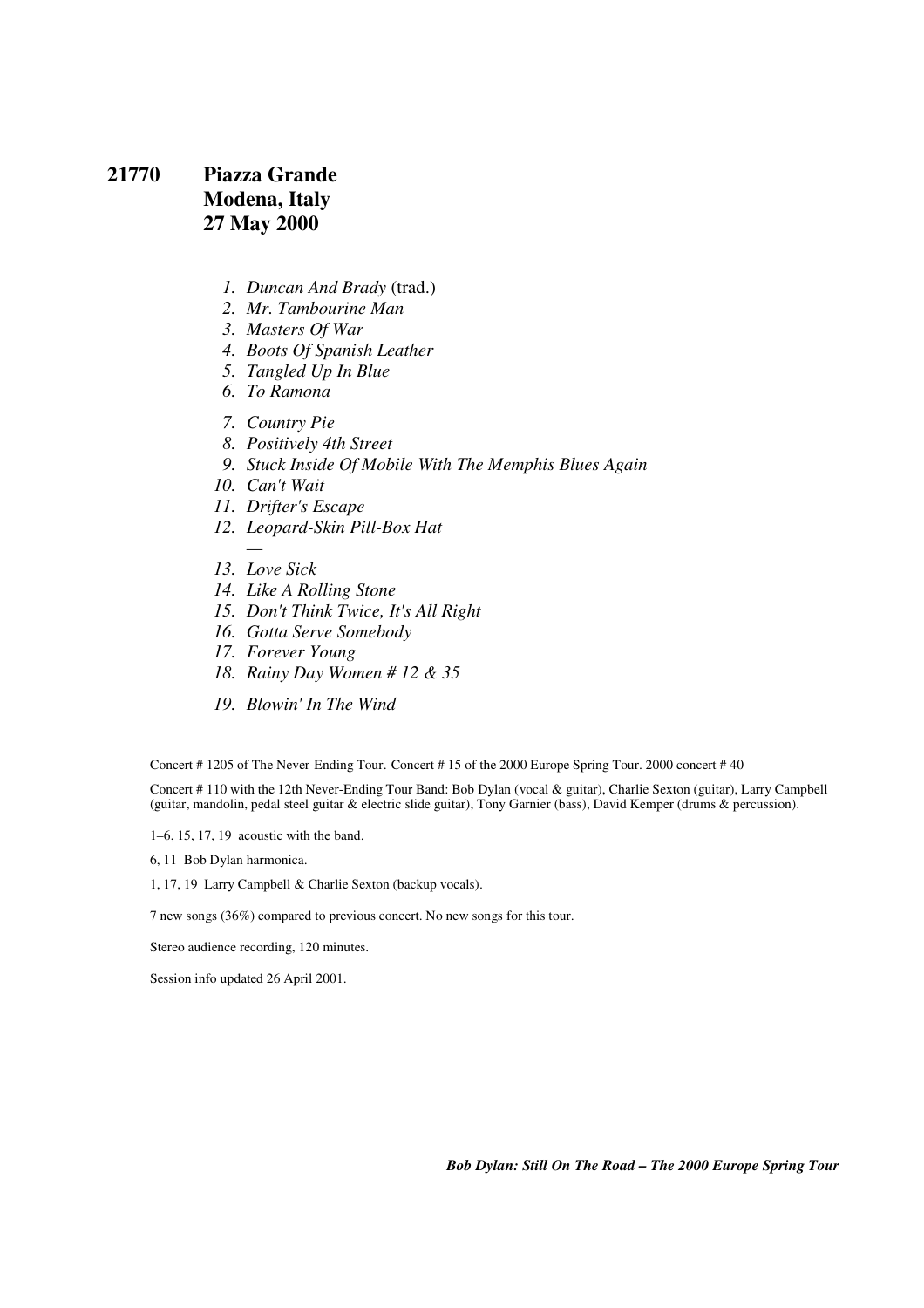# **21770 Piazza Grande Modena, Italy 27 May 2000**

- *1. Duncan And Brady* (trad.)
- *2. Mr. Tambourine Man*
- *3. Masters Of War*
- *4. Boots Of Spanish Leather*
- *5. Tangled Up In Blue*
- *6. To Ramona*
- *7. Country Pie*
- *8. Positively 4th Street*
- *9. Stuck Inside Of Mobile With The Memphis Blues Again*
- *10. Can't Wait*
- *11. Drifter's Escape*
- *12. Leopard-Skin Pill-Box Hat*
- *13. Love Sick*
- *14. Like A Rolling Stone*
- *15. Don't Think Twice, It's All Right*
- *16. Gotta Serve Somebody*
- *17. Forever Young*
- *18. Rainy Day Women # 12 & 35*
- *19. Blowin' In The Wind*

Concert # 1205 of The Never-Ending Tour. Concert # 15 of the 2000 Europe Spring Tour. 2000 concert # 40

Concert # 110 with the 12th Never-Ending Tour Band: Bob Dylan (vocal & guitar), Charlie Sexton (guitar), Larry Campbell (guitar, mandolin, pedal steel guitar & electric slide guitar), Tony Garnier (bass), David Kemper (drums & percussion).

1–6, 15, 17, 19 acoustic with the band.

6, 11 Bob Dylan harmonica.

1, 17, 19 Larry Campbell & Charlie Sexton (backup vocals).

7 new songs (36%) compared to previous concert. No new songs for this tour.

Stereo audience recording, 120 minutes.

Session info updated 26 April 2001.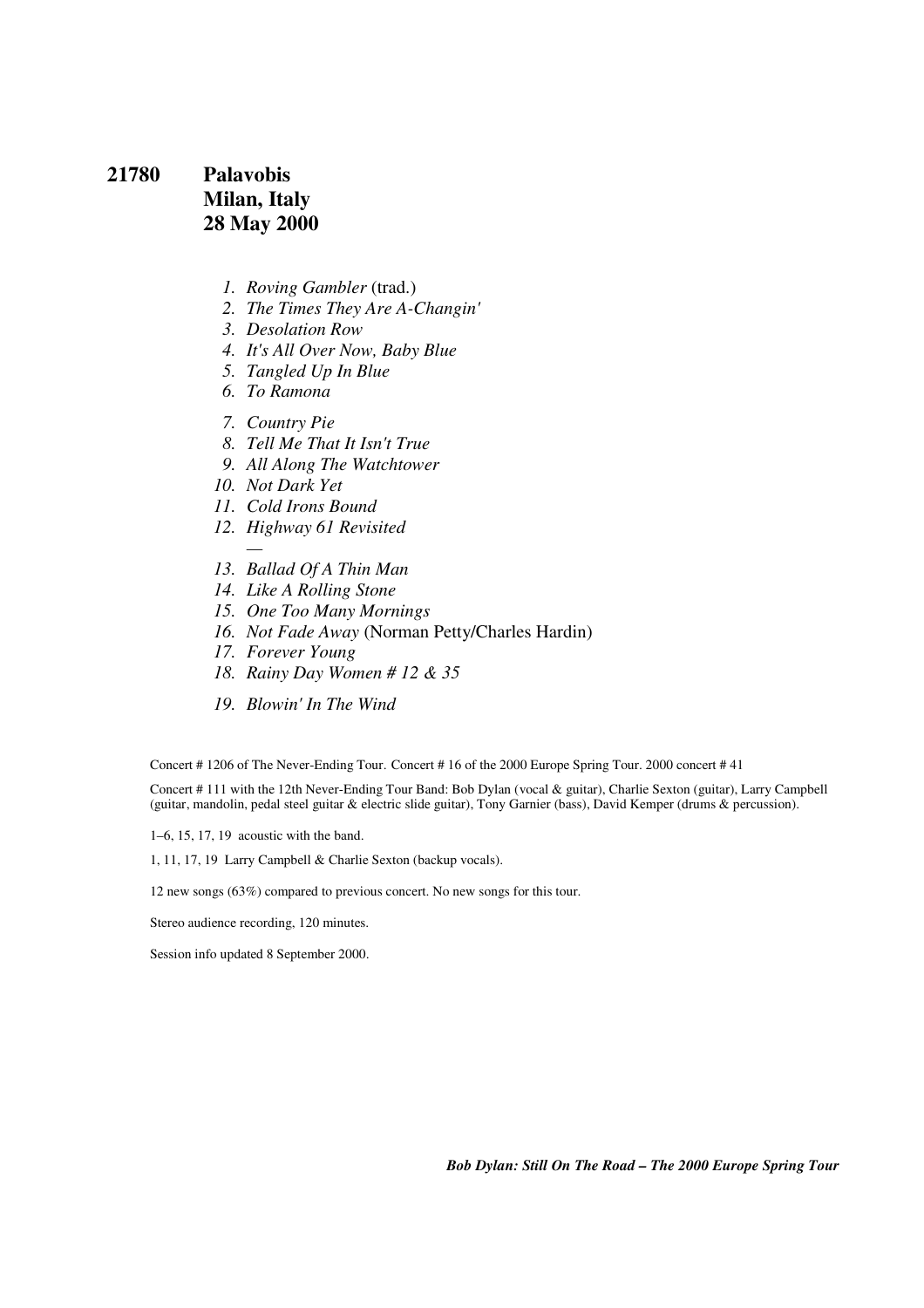# **21780 Palavobis Milan, Italy 28 May 2000**

- *1. Roving Gambler* (trad.)
- *2. The Times They Are A-Changin'*
- *3. Desolation Row*
- *4. It's All Over Now, Baby Blue*
- *5. Tangled Up In Blue*
- *6. To Ramona*
- *7. Country Pie*
- *8. Tell Me That It Isn't True*
- *9. All Along The Watchtower*
- *10. Not Dark Yet*
- *11. Cold Irons Bound*
- *12. Highway 61 Revisited*
- *13. Ballad Of A Thin Man*
- *14. Like A Rolling Stone*
- *15. One Too Many Mornings*
- *16. Not Fade Away* (Norman Petty/Charles Hardin)
- *17. Forever Young*
- *18. Rainy Day Women # 12 & 35*
- *19. Blowin' In The Wind*

Concert # 1206 of The Never-Ending Tour. Concert # 16 of the 2000 Europe Spring Tour. 2000 concert # 41

Concert # 111 with the 12th Never-Ending Tour Band: Bob Dylan (vocal & guitar), Charlie Sexton (guitar), Larry Campbell (guitar, mandolin, pedal steel guitar & electric slide guitar), Tony Garnier (bass), David Kemper (drums & percussion).

1–6, 15, 17, 19 acoustic with the band.

1, 11, 17, 19 Larry Campbell & Charlie Sexton (backup vocals).

12 new songs (63%) compared to previous concert. No new songs for this tour.

Stereo audience recording, 120 minutes.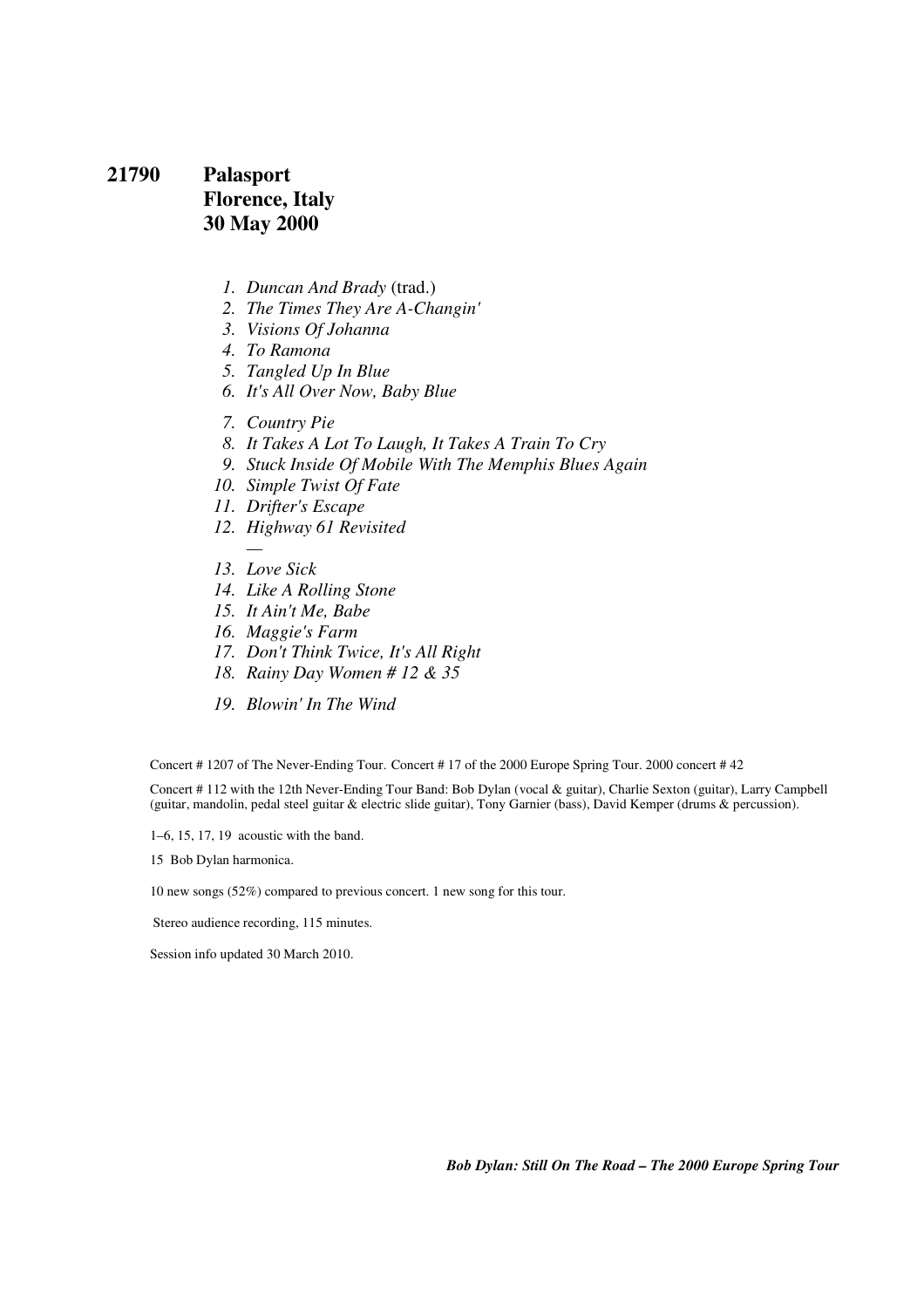## **21790 Palasport Florence, Italy 30 May 2000**

- *1. Duncan And Brady* (trad.)
- *2. The Times They Are A-Changin'*
- *3. Visions Of Johanna*
- *4. To Ramona*
- *5. Tangled Up In Blue*
- *6. It's All Over Now, Baby Blue*
- *7. Country Pie*
- *8. It Takes A Lot To Laugh, It Takes A Train To Cry*
- *9. Stuck Inside Of Mobile With The Memphis Blues Again*
- *10. Simple Twist Of Fate*
- *11. Drifter's Escape*
- *12. Highway 61 Revisited*
- *13. Love Sick*
- *14. Like A Rolling Stone*
- *15. It Ain't Me, Babe*
- *16. Maggie's Farm*
- *17. Don't Think Twice, It's All Right*
- *18. Rainy Day Women # 12 & 35*
- *19. Blowin' In The Wind*

Concert # 1207 of The Never-Ending Tour. Concert # 17 of the 2000 Europe Spring Tour. 2000 concert # 42

Concert # 112 with the 12th Never-Ending Tour Band: Bob Dylan (vocal & guitar), Charlie Sexton (guitar), Larry Campbell (guitar, mandolin, pedal steel guitar & electric slide guitar), Tony Garnier (bass), David Kemper (drums & percussion).

1–6, 15, 17, 19 acoustic with the band.

15 Bob Dylan harmonica.

10 new songs (52%) compared to previous concert. 1 new song for this tour.

Stereo audience recording, 115 minutes.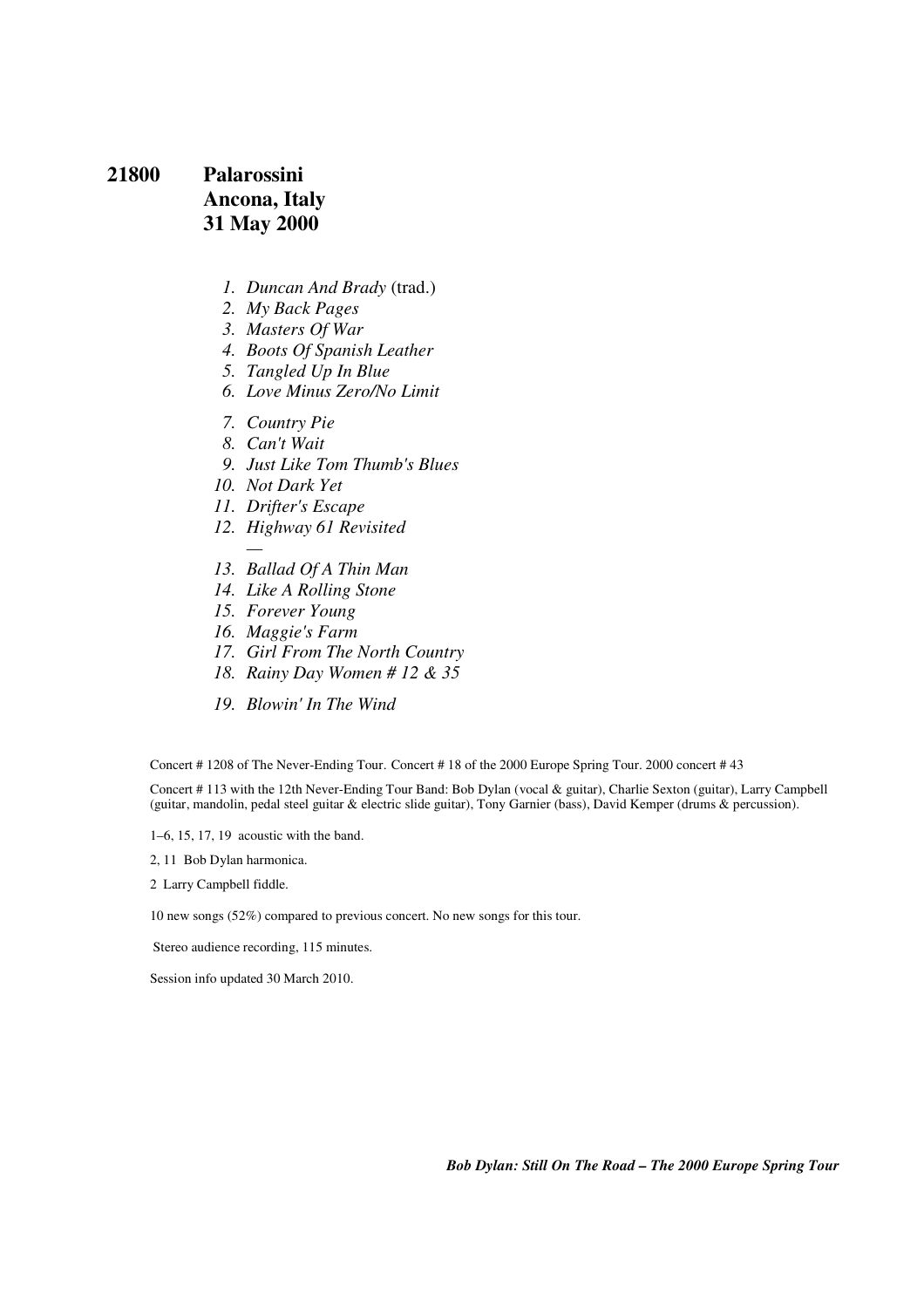# **21800 Palarossini Ancona, Italy 31 May 2000**

- *1. Duncan And Brady* (trad.)
- *2. My Back Pages*
- *3. Masters Of War*
- *4. Boots Of Spanish Leather*
- *5. Tangled Up In Blue*
- *6. Love Minus Zero/No Limit*
- *7. Country Pie*
- *8. Can't Wait*
- *9. Just Like Tom Thumb's Blues*
- *10. Not Dark Yet*
- *11. Drifter's Escape*
- *12. Highway 61 Revisited*
- *13. Ballad Of A Thin Man*
- *14. Like A Rolling Stone*
- *15. Forever Young*
- *16. Maggie's Farm*
- *17. Girl From The North Country*
- *18. Rainy Day Women # 12 & 35*
- *19. Blowin' In The Wind*

Concert # 1208 of The Never-Ending Tour. Concert # 18 of the 2000 Europe Spring Tour. 2000 concert # 43

Concert # 113 with the 12th Never-Ending Tour Band: Bob Dylan (vocal & guitar), Charlie Sexton (guitar), Larry Campbell (guitar, mandolin, pedal steel guitar & electric slide guitar), Tony Garnier (bass), David Kemper (drums & percussion).

1–6, 15, 17, 19 acoustic with the band.

2, 11 Bob Dylan harmonica.

2 Larry Campbell fiddle.

10 new songs (52%) compared to previous concert. No new songs for this tour.

Stereo audience recording, 115 minutes.